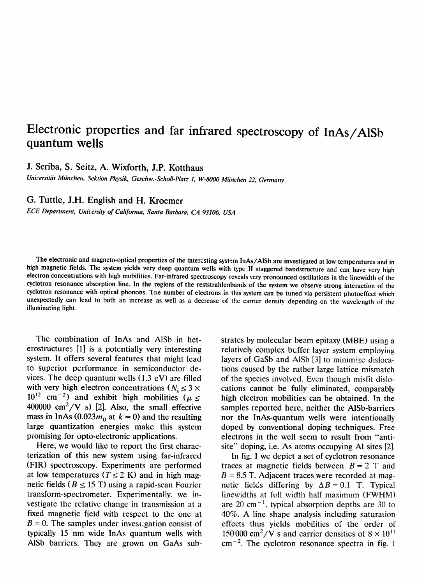## **Electronic properties and far infrared spectroscopy of InAs/A1Sb quantum wells**

**J.** Scriba, S. Seitz, A. Wixforth, J.P. Kotthaus

*Universit& Miinchen, Sektion Physik, Geschw.-Scholl-Platz 1, W-8000 Miinchen 22, Germany*

## **G.** Tuttle, J.H. English and H. Kroemer

*ECE Department, Unit,ersity of Califorma, Santa Barbara, CA 93106, USA*

The electronic and magneto-optical properties of the intercsting system InAs/AISb are investigated at low temperatures and in high magnetic fields. The system yields very deep quantum wells with type II staggered bandstructure and can have very high electron concentrations with high mobilities. Far-infrared spectroscopy reveals very pronounced oscillations in the linewidth of the cyclotron resonance absorption line. In **the regions of the reststrahlenbands of the system we observe strong interaction of** the cyclotron resonance with optical **phonons. I ne number of electrons** in this systemcan be tuned via persistent photoeffect which unexpectedly can lead to both an increase as well as a decrease of the carrier density depending on the wavelength of the illuminating light.

The combination of InAs and A1Sb in heterostructures [1] is a potentially very interesting system. It offers several features that might lead to superior performance in semiconductor devices. The deep quantum wells  $(1.3 \text{ eV})$  are filled with very high electron concentrations ( $N_s \leq 3 \times$  $10^{12}$  cm<sup>-2</sup>) and exhibit high mobilities ( $\mu \le$ 400000  $\text{cm}^2/\text{V}$  s) [2]. Also, the small effective mass in InAs  $(0.023m_0$  at  $k = 0$ ) and the resulting large quantization energies make this system promising for opto-electronic applications.

Here, we would like to report the first characterization of this new system using far-infrared (FIR) spectroscopy. Experiments are performed at low temperatures ( $T \le 2$  K) and in high magnetic fields ( $B \le 15$  T) using a rapid-scan Fourier transform-spectrometer. Experimentally, we investigate the relative change in transmission at a fixed magnetic field with respect to the one at  $B = 0$ . The samples under investigation consist of typically 15 nm wide InAs quantum wells with A1Sb barriers. They are grown on GaAs substrates by molecular beam epitaxy (MBE) using a relatively complex buffer layer system employing layers of GaSb and AISb [3] to minimize dislocations caused by the rather large lattice mismatch of the species involved. Even though misfit dislocations cannot be fully eliminated, comparably high electron mobilities can be obtained. In the samples reported here, neither the AISb-barriers nor the InAs-quantum wells were intentionally doped by conventional doping techniques. Free electrons in the well seem to result from "antisite" doping, i.e. As atoms occupying Al sites [2].

In fig. 1 we depict a set of cyclotron resonance traces at magnetic fields between  $B = 2$  T and  $B = 8.5$  T. Adjacent traces were recorded at magnetic fields differing by  $\Delta B = 0.1$  T. Typica linewidths at full width half maximum (FWHM) are 20 cm<sup> $-1$ </sup>, typical absorption depths are 30 to 40%. A line shape analysis including saturation effects thus yields mobilities of the order of 150000 cm<sup>2</sup>/V s and carrier densities of  $8 \times 10^{11}$  $cm^{-2}$ . The cyclotron resonance spectra in fig. 1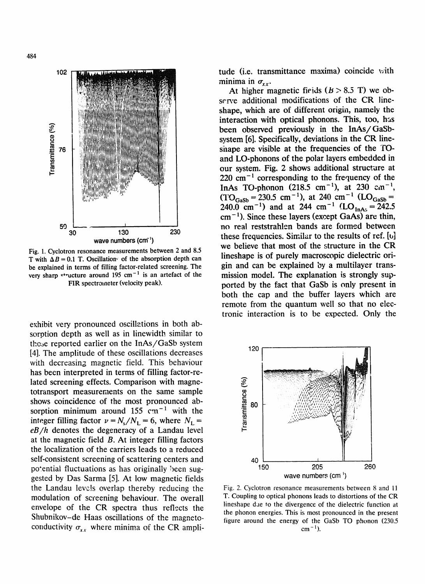

Fig. 1. Cyclotron resonance measurements between 2 and 8.5 T with  $\Delta B = 0.1$  T. Oscillation of the absorption depth can be explained in terms of filling factor-related screening. The very sharp  $\cdot$  vucture around 195 cm<sup>-1</sup> is an artefact of the FIR spectrometer (velocity peak).

exhibit very pronounced oscillations in both absorption depth as well as in linewidth similar to these reported earlier on the InAs/GaSb system [4]. The amplitude of these oscillations decreases with decreasing magnetic field. This behaviour has been interpreted in terms of filling factor-related screening effects. Comparison with magnetotransport measurements on the same sample shows coincidence of the most pronounced absorption minimum around 155  $cm^{-1}$  with the integer filling factor  $v = N_s/N_L = 6$ , where  $N_L =$ *eB/h* denotes the degeneracy of a Landau level at the magnetic field B. At integer filling factors the localization of the carriers leads to a reduced self-consistent screening of scattering centers and potential fluctuations as has originally been suggested by Das Sarma [5]. At low magnetic fields the Landau levels overlap thereby reducing the modulation of screening behaviour. The overall envelope of the CR spectra thus reflects the Shubnikov-de Haas oscillations of the magnetoconductivity  $\sigma_{xx}$  where minima of the CR amplitude (i.e. transmittance maxima) coincide with minima in  $\sigma_{xx}$ .

At higher magnetic fields  $(B > 8.5 T)$  we observe additional modifications of the CR lineshape, which are of different origin, namely the interaction with optical phonons. This, too, has been observed previously in the InAs/GaSbsystem [6]. Specifically, deviations in the CR lineshape are visible at the frequencies of the TOand LO-phonons of the polar layers embedded in our system. Fig. 2 shows additional structure at  $220 \text{ cm}^{-1}$  corresponding to the frequency of the InAs TO-phonon (218.5 cm<sup>-1</sup>), at 230 cm<sup>-1</sup>,  $(TO_{\text{GaSb}} = 230.5 \text{ cm}^{-1})$ , at 240 cm<sup>-1</sup> (LO<sub>GaSb</sub> = 240.0 cm<sup>-1</sup>) and at 244 cm<sup>-1</sup> (LO<sub>InAs</sub> = 242.5  $cm^{-1}$ ). Since these layers (except GaAs) are thin, no real reststrahlen bands are formed between these frequencies. Similar to the results of ref.  $[\mathbf{b}]$ we believe that most of the structure in the CR lineshape is of purely macroscopic dielectric origin and can be explained by a multilayer transmission model. The explanation is strongly supported by the fact that GaSb is only present in both the cap and the buffer layers which are remote from the quantum well so that no electronic interaction is to be expected. Only the



Fig. 2. Cyclotron resonance measurements between 8 and 11 T. Coupling to optical phonons leads to distortions of the CR lineshape dae to the divergence of the dielectric function at the phonon energies. This is most pronounced in the present figure around the energy of the GaSb TO phonon (230.5  $cm^{-1}$ ).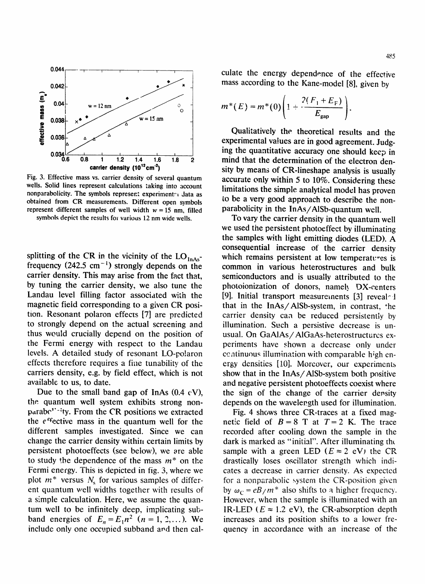

Fig. 3. Effective mass vs. carrier density of several quantum wells. Solid lines represent calculations taking into account nonparabolicity. The symbols represent experimentr~ **Jata as** obtained from CR measurements. Different open symbols represent different samples of well width  $w = 15$  nm, filled symbols depict the results for various 12 nm wide wells.

splitting of the CR in the vicinity of the  $LO<sub>InAs</sub>$ frequency  $(242.5 \text{ cm}^{-1})$  strongly depends on the carrier density. This may arise from the fact that, by tuning the carrier density, we also tune the Landau level filling factor associated with the magnetic field corresponding to a given CR position. Resonant polaron effects [7] are predicted to strongly depend on the actual screening and thus would crucially depend on the position of the Fermi energy with respect to the Landau levels. A detailed study of resonant LO-polaron effects therefore requires a fine tunability of the carriers density, e.g. by field effect, which is not available to us, to date.

Due to the small band gap of InAs  $(0.4 \text{ eV})$ , the quantum well system exhibits strong nonparabc"-:ty. From the CR positions we extracted the  $e^{ct}$  ective mass in the quantum well for the different samples investigated. Since we can change the carrier density within certain limits by persistent photoeffects (see below), we are able to study the dependence of the mass  $m^*$  on the Fermi energy. This is depicted in fig. 3, where we plot  $m^*$  versus  $N_s$  for various samples of different quantum well widths together with results of a simple calculation. Here, we assume the quantum well to be infinitely deep, implicating subband energies of  $E_n = E_1 n^2$   $(n = 1, 2, ...)$ . We include only one occupied subband and then calculate the energy dependence of the effective mass according to the Kane-model [8], given by

$$
m^*(E) = m^*(0) \left( 1 + \frac{2(F_1 + E_F)}{E_{\rm gap}} \right).
$$

Qualitatively the theoretical results and the experimental values are in good agreement. Judging the quantitative accuracy one should keep in mind that the determination of the electron density by means of CR-lineshape analysis is usually accurate only within 5 to 10%. Considering these limitations the simple analytical model has proven to be a very good approach to describe the nonparabolicity in the lnAs/AISb-quantum well.

To vary the carrier density in the quantum well we used the persistent photoeffect by illuminating the samples with light emitting diodes (LED). A consequential increase of the carrier density which remains persistent at low temperatures is common in various heterostructures and bulk semiconductors and is usually attributed to the photoionization of donors, namely  $DX$ -centers [9]. Initial transport measurements [3] revealed that in the InAs/AlSb-system, in contrast, the carrier density can be reduced persistently by illumination. Such a persistive decrease is unusual. On GaAIAs/AlGaAs-heterostructurcs experiments have shown a decrease only under continuous illumination with comparable high energy densities [10]. Moreover, our experiments show that in the InAs/AISb-system both positive and negative persistent photoeffects coexist where the sign of the change of the carrier density depends on the wavelength used for illumination.

Fig. 4 shows three CR-traces at a fixed magnetic field of  $B=8$  T at  $T=2$  K. The trace recorded after cooling down the sample in the dark is marked as "initial". After illuminating tht sample with a green LED ( $E \approx 2$  eV) the CR drastically loses oscillator strength which indicates a decrease in carrier density. As expected for a nonparabolic system the CR-position given by  $\omega_c = eB/m^*$  also shifts to a higher frequency. However, when the sample is illuminated with an IR-LED ( $E \approx 1.2$  eV), the CR-absorption depth increases and its position shifts to a lower frequency in accordance with an increase of the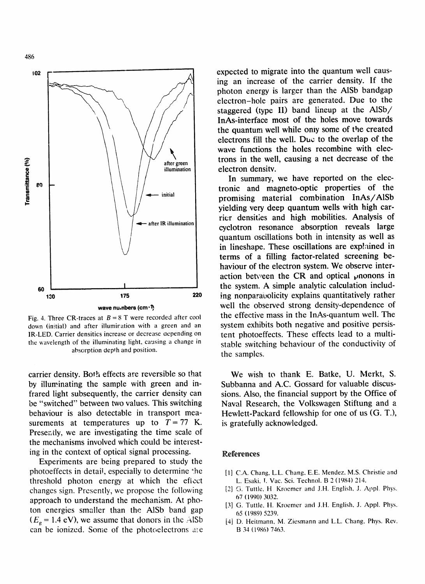



Fig. 4. Three CR-traces at  $B = 8$  T were recorded after cool down (initial) and after illumiration with a green and an IR-LED. Carrier densities increase or decrease oepending on the wavelength of the illuminating light, causing a change in absorption depth and position.

carrier density. Both effects are reversible so that by illuminating the sample with green and infrared light subsequently, the carrier density can be "switched" between two values. This switching behaviour is also detectable in transport measurements at temperatures up to  $T = 77$  K. Presently, we are investigating the time scale of the mechanisms involved which could be interesting in the context of optical signal processing.

Experiments are being prepared to study the photoeffects in detail, especially to determine the threshold photon energy at which the effect changes sign. Presently, we propose the following approach to understand the mechanism. At photon energies smaller than the AISb band gap  $(E<sub>g</sub> = 1.4$  eV), we assume that donors in the AISb can be ionized. Some of the photoelectrons are

expected to migrate into the quantum well causing an increase of the carrier density. If the photon energy is larger than the AISb bandgap electron-hole pairs are generated. Due to the staggered (type II) band lineup at the AISb/ InAs-interface most of the holes move towards the quantum well while only some of the created electrons fill the well. Duc to the overlap of the wave functions the holes recombine with electrons in the well, causing a net decrease of the electron densitv.

In summary, we have reported on the electronic and magneto-optic properties of the promising material combination InAs/AISb yielding very deep quantum wells with high carrier densities and high mobilities. Analysis of cyclotron resonance absorption reveals large quantum oscillations both in intensity as well as in lineshape. These oscillations are explained in terms of a filling factor-related screening behaviour of the electron system. We observe interaction between the CR and optical  $\mu$  nonons in the system. A simple analytic calculation including nonparabolicity explains quantitatively rather well the observed strong density-dependence of the effective mass in the InAs-quantum well. The system exhibits both negative and positive persistent photoeffects. These effects lead to a multistable switching behaviour of the conductivity of the samples.

We wish to thank E. Batke, U. Merkt, S. Subbanna and A.C. Gossard for valuable discussions. Also, the financial support by the Office of Naval Research, the Volkswagen Stiftung and a Hewlett-Packard fellowship for one of us (G. T.), is gratefully acknowledged.

## References

- [1] C.A. Chang, L.L. Chang, E.E. Mendez, M.S. Christie and L. Esaki, I. Vac. Sci. Technoi. B 2 (1984) 214.
- [2] G. Turtle, H Kroemer and J.H. English, J. Appl. Phys. 67 (1990) 3032.
- [3] G. Tuttle, H. Kroemer and J.H. English, J. Appl. Phys. 65 (1989) 5239.
- [4] D. Heitmann, M. Ziesmann and L.L. Chang, Phys. Rev. B 34 (1986) 7463.